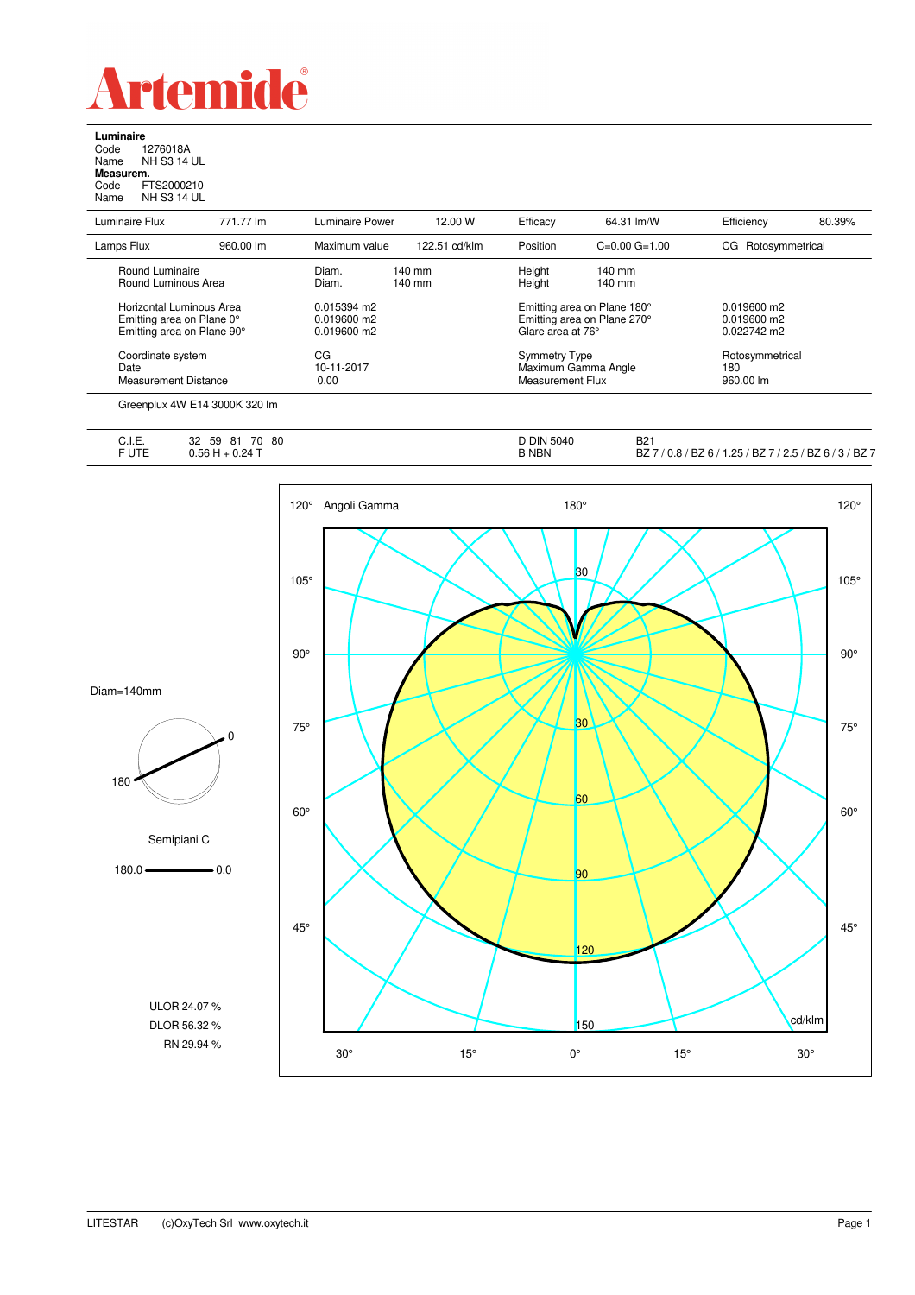

**Luminaire**<br>Code 1<br>Name N re<br>1276018A<br>NH S3 14 UL Name NH S3 14 UL **Measurem.** Code FTS2000210 Name NH S3 14 UL

| Luminaire Flux                         | 771.77 lm | Luminaire Power | 12.00 W                      | Efficacy                    | 64.31 lm/W                  | Efficiency         | 80.39% |
|----------------------------------------|-----------|-----------------|------------------------------|-----------------------------|-----------------------------|--------------------|--------|
| Lamps Flux                             | 960.00 lm | Maximum value   | 122.51 cd/klm                | Position                    | $C=0.00$ $G=1.00$           | CG Rotosymmetrical |        |
| Round Luminaire<br>Round Luminous Area |           | Diam.<br>Diam.  | $140$ mm<br>$140 \text{ mm}$ | Height<br>Height            | $140 \text{ mm}$<br>140 mm  |                    |        |
|                                        |           |                 |                              |                             |                             |                    |        |
| Horizontal Luminous Area               |           | 0.015394 m2     |                              | Emitting area on Plane 180° |                             | $0.019600$ m2      |        |
| Emitting area on Plane 0°              |           | 0.019600 m2     |                              |                             | Emitting area on Plane 270° | $0.019600$ m2      |        |
| Emitting area on Plane 90°             |           | $0.019600$ m2   |                              | Glare area at 76°           |                             | $0.022742$ m2      |        |
| Coordinate system                      |           | CG              |                              | <b>Symmetry Type</b>        |                             | Rotosymmetrical    |        |
| Date                                   |           | 10-11-2017      |                              | Maximum Gamma Angle         |                             | 180                |        |
| <b>Measurement Distance</b>            |           | 0.00            |                              | Measurement Flux            |                             | 960.00 lm          |        |

| C.I.E.<br>$\sim$ $\sim$ $\sim$ $\sim$ $\sim$ $\sim$ $\sim$ | 70<br>32<br>80<br>59<br>81  | DIN 5040     | <b>B21</b>                                                                                                                      |
|------------------------------------------------------------|-----------------------------|--------------|---------------------------------------------------------------------------------------------------------------------------------|
| F UTE                                                      | $+0.24$ T<br>ገ 56 L<br>u.uu | <b>B NBN</b> | BZ <sub>7</sub><br>דם<br>$12.5/$ BZ 6 $/$<br>7 BZ / ر<br>1.25<br>'BZ6/<br>$\cdot$ $\sim$<br>$\sqrt{2}$<br>DZ.<br>v.o<br>$\cdot$ |